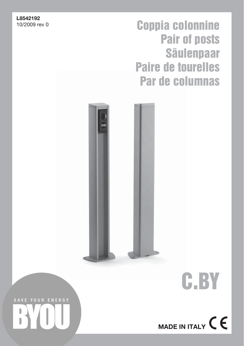## L8542192<br>10/2009 rev 0

# Coppia colonnine Pair of posts Säulenpaar Paire de tourelles Par de columnas





SAVE YOUR ENERGY ı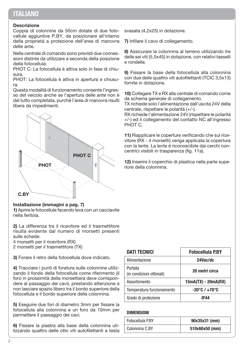## ITALIANO

#### Descrizione

Coppia di colonnine da 50cm dotate di due fotocellule aggiuntive P.BY, da posizionare all'interno della proprietà a protezione dell'area di manovra delle ante.

Nella centrale di comando sono previsti due connessioni distinte da utilizzare a seconda della posizione della fotocellula:

PHOT C: La fotocellula è attiva solo in fase di chiusura.

PHOT: La fotocellula è attiva in apertura e chiusura.

Questa modalità di funzionamento consente l'ingresso del veicolo anche se l'apertura delle ante non è del tutto completata, purché l'area di manovra risulti libera da impedimenti.



#### Installazione (immagini a pag. 7)

1) Aprire le fotocellule facendo leva con un cacciavite nella feritoia.

2) La differenza tra il ricevitore ed il trasmettitore risulta evidente dal numero di morsetti presenti sulle schede:

4 morsetti per il ricevitore (RX)

2 morsetti per il trasmettitore (TX)

3) Forare il retro della fotocellula dove indicato.

4) Tracciare i punti di foratura sulle colonnine utilizzando il fondo della fotocellula come riferimento (il foro in prossimità della morsettiera deve corrispondere al passaggio dei cavi), prestando attenzione a non lasciare spazio libero tra il bordo superiore della fotocellula e il bordo superiore della colonnina.

5) Eseguire due fori di diametro 3mm per fissare la fotocellula alla colonnina e un foro da 10mm per permettere il passaggio dei cavi.

6) Fissare la piastra alla base della colonnina utilizzando quattro delle otto viti autofilettanti a testa svasata (4,2x25) in dotazione.

7) Infilare il cavo di collegamento.

8) Assicurare la colonnina al terreno utilizzando tre delle sei viti (5,5x45) in dotazione, con relativi tasselli e rondelle.

9) Fissare la base della fotocellula alla colonnina con due delle quattro viti autofilettanti (TCIC 3,5x13) fornite in dotazione.

10) Collegare TX e RX alla centrale di comando come da schema generale di collegamento.

TX richiede solo l'alimentazione dall'uscita 24V della centrale, rispettare le polarità (+/-).

RX richiede l'alimentazione 24V (rispettare le polarità +/-) ed il collegamento del contatto NC all'ingresso PHOT C.

11) Riapplicare le coperture verificando che sul ricevitore (RX - 4 morsetti) venga applicata la copertura con la lente. La lente è riconoscibile dai cerchi concentrici visibili in trasparenza (fig. 11a).

12) Inserire il coperchio di plastica nella parte superiore della colonnina.

| <b>DATI TECNICI</b>                 | <b>Fotocellula P.BY</b>           |
|-------------------------------------|-----------------------------------|
| Alimentazione                       | 24Vac/dc                          |
| Portata<br>(in condizioni ottimali) | 20 metri circa                    |
| Assorbimento                        | 15mA(TX) - 20mA(RX)               |
| Temperatura funzionamento           | $-20^{\circ}$ C / $+70^{\circ}$ C |
| Grado di protezione                 | IP44                              |

#### DIMENSIONI

| Fotocellula P.BY | 90x35x31 (mm)  |
|------------------|----------------|
| Colonnina C.BY   | 510x60x50 (mm) |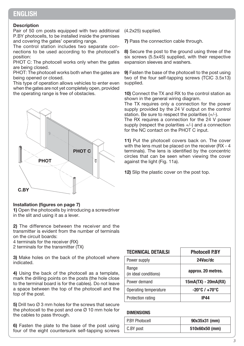## **ENGLISH**

#### **Description**

Pair of 50 cm posts equipped with two additional P.BY photocells, to be installed inside the premises and covering the gates' operating range.

The control station includes two separate connections to be used according to the photocell's position:

PHOT C: The photocell works only when the gates are being closed.

PHOT: The photocell works both when the gates are being opened or closed.

This type of operation allows vehicles to enter even when the gates are not yet completely open, provided the operating range is free of obstacles.



#### Installation (figures on page 7)

1) Open the photocells by introducing a screwdriver in the slit and using it as a lever.

2) The difference between the receiver and the transmitter is evident from the number of terminals on the circuit boards:

4 terminals for the receiver (RX)

2 terminals for the transmitter (TX)

3) Make holes on the back of the photocell where indicated.

4) Using the back of the photocell as a template, mark the drilling points on the posts (the hole close to the terminal board is for the cables). Do not leave a space between the top of the photocell and the top of the post.

5) Drill two Ø 3 mm holes for the screws that secure the photocell to the post and one  $\varnothing$  10 mm hole for the cables to pass through.

6) Fasten the plate to the base of the post using four of the eight countersunk self-tapping screws (4.2x25) supplied.

7) Pass the connection cable through.

8) Secure the post to the ground using three of the six screws (5.5x45) supplied, with their respective expansion sleeves and washers.

9) Fasten the base of the photocell to the post using two of the four self-tapping screws (TCIC 3.5x13) supplied.

10) Connect the TX and RX to the control station as shown in the general wiring diagram.

The TX requires only a connection for the power supply provided by the 24 V output on the control station. Be sure to respect the polarities (+/-).

The RX requires a connection for the 24 V power supply (respect the polarities +/-) and a connection for the NC contact on the PHOT C input.

11) Put the photocell covers back on. The cover with the lens must be placed on the receiver (RX - 4 terminals). The lens is identified by the concentric circles that can be seen when viewing the cover against the light (Fig. 11a).

12) Slip the plastic cover on the post top.

| <b>TECHNICAL DETAILSI</b>      | <b>Photocell P.BY</b>             |
|--------------------------------|-----------------------------------|
| Power supply                   | 24Vac/dc                          |
| Range<br>(in ideal conditions) | approx. 20 metres.                |
| Power demand                   | 15mA(TX) - 20mA(RX)               |
| Operating temperature          | $-20^{\circ}$ C / $+70^{\circ}$ C |
| Protection rating              | IP44                              |

#### **DIMENSIONS**

| <b>P.BY Photocell</b> | 90x35x31 (mm)  |
|-----------------------|----------------|
| C.BY post             | 510x60x50 (mm) |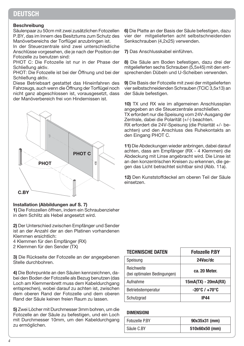## **DEUTSCH**

#### Beschreibung

Säulenpaar zu 50cm mit zwei zusätzlichen Fotozellen P.BY, das im Innern des Besitztums zum Schutz des Manöverbereichs der Torflügel anzubringen ist.

In der Steuerzentrale sind zwei unterschiedliche Anschlüsse vorgesehen, die je nach der Position der Fotozelle zu benutzen sind:

PHOT C: Die Fotozelle ist nur in der Phase der Schließung aktiv.

PHOT: Die Fotozelle ist bei der Öffnung und bei der Schließung aktiv.

Diese Betriebsart gestattet das Hineinfahren des Fahrzeugs, auch wenn die Öffnung der Torflügel noch nicht ganz abgeschlossen ist, vorausgesetzt, dass der Manöverbereich frei von Hindernissen ist.



#### Installation (Abbildungen auf S. 7)

1) Die Fotozellen öffnen, indem ein Schraubenzieher in dem Schlitz als Hebel angesetzt wird.

2) Der Unterschied zwischen Empfänger und Sender ist an der Anzahl der an den Platinen vorhandenen Klemmen ersichtlich:

4 Klemmen für den Empfänger (RX)

2 Klemmen für den Sender (TX)

3) Die Rückseite der Fotozelle an der angegebenen Stelle durchbohren.

4) Die Bohrpunkte an den Säulen kennzeichnen, dabei den Boden der Fotozelle als Bezug benutzen (das Loch am Klemmenbrett muss dem Kabeldurchgang entsprechen), wobei darauf zu achten ist, zwischen dem oberen Rand der Fotozelle und dem oberen Rand der Säule keinen freien Raum zu lassen.

5) Zwei Löcher mit Durchmesser 3mm bohren, um die Fotozelle an der Säule zu befestigen, und ein Loch mit Durchmesser 10mm, um den Kabeldurchgang zu ermöglichen.

6) Die Platte an der Basis der Säule befestigen, dazu vier der mitgelieferten acht selbstschneidenden Senkschrauben (4,2x25) verwenden.

7) Das Anschlusskabel einführen.

8) Die Säule am Boden befestigen, dazu drei der mitgelieferten sechs Schrauben (5,5x45) mit den entsprechenden Dübeln und U-Scheiben verwenden.

9) Die Basis der Fotozelle mit zwei der mitgelieferten vier selbstschneidenden Schrauben (TCIC 3,5x13) an der Säule befestigen.

10) TX und RX wie im allgemeinen Anschlussplan angegeben an die Steuerzentrale anschließen. TX erfordert nur die Speisung vom 24V-Ausgang der Zentrale, dabei die Polarität (+/-) beachten.

RX erfordert die 24V-Speisung (die Polarität +/- beachten) und den Anschluss des Ruhekontakts an den Eingang PHOT C.

11) Die Abdeckungen wieder anbringen, dabei darauf achten, dass am Empfänger (RX - 4 Klemmen) die Abdeckung mit Linse angebracht wird. Die Linse ist an den konzentrischen Kreisen zu erkennen, die gegen das Licht betrachtet sichtbar sind (Abb. 11a).

12) Den Kunststoffdeckel am oberen Teil der Säule einsetzen.

| <b>TECHNISCHE DATEN</b>                   | <b>Fotozelle P.BY</b>             |
|-------------------------------------------|-----------------------------------|
| Speisung                                  | 24Vac/dc                          |
| Reichweite<br>(bei optimalen Bedingungen) | ca. 20 Meter.                     |
| Aufnahme                                  | $15mA(TX) - 20mA(RX)$             |
| Betriebstemperatur                        | $-20^{\circ}$ C / $+70^{\circ}$ C |
| Schutzgrad                                | IP44                              |

#### DIMENSIONI

| Fotozelle P.BY | 90x35x31 (mm)  |
|----------------|----------------|
| Säule C.BY     | 510x60x50 (mm) |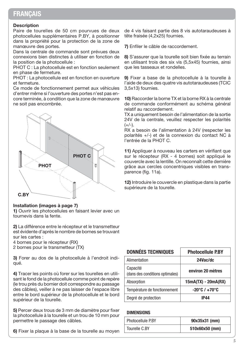## **FRANCAIS**

#### **Description**

Paire de tourelles de 50 cm pourvues de deux photocellules supplémentaires P.BY, à positionner dans la propriété pour la protection de la zone de manœuvre des portes.

Dans la centrale de commande sont prévues deux connexions bien distinctes à utiliser en fonction de la position de la photocellule :

PHOT C : La photocellule est en fonction seulement en phase de fermeture.

PHOT : La photocellule est en fonction en ouverture et fermeture.

Ce mode de fonctionnement permet aux véhicules d'entrer même si l'ouverture des portes n'est pas encore terminée, à condition que la zone de manœuvre ne soit pas encombrée.



#### Installation (images à page 7)

1) Ouvrir les photocellules en faisant levier avec un tournevis dans la fente.

2) La différence entre le récepteur et le transmetteur est évidente d'après le nombre de bornes se trouvant sur les cartes :

4 bornes pour le récepteur (RX)

2 bornes pour le transmetteur (TX)

3) Forer au dos de la photocellule à l'endroit indiqué.

4) Tracer les points où forer sur les tourelles en utilisant le fond de la photocellule comme point de repère (le trou près du bornier doit correspondre au passage des câbles), veiller à ne pas laisser de l'espace libre entre le bord supérieur de la photocellule et le bord supérieur de la tourelle.

5) Percer deux trous de 3 mm de diamètre pour fixer la photocellule à la tourelle et un trou de 10 mm pour permettre le passage des câbles.

6) Fixer la plaque à la base de la tourelle au moyen

de 4 vis faisant partie des 8 vis autotaraudeuses à tête fraisée (4,2x25) fournies.

7) Enfiler le câble de raccordement.

8) S'assurer que la tourelle soit bien fixée au terrain en utilisant trois des six vis (5,5x45) fournies, ainsi que les tasseaux et rondelles.

9) Fixer a base de la photocellule à la tourelle à l'aide de deux des quatre vis autotaraudeuses (TCIC 3,5x13) fournies.

10) Raccorder la borne TX et la borne RX à la centrale de commande conformément au schéma général relatif au raccordement.

TX a uniquement besoin de l'alimentation de la sortie 24V de la centrale, veuillez respecter les polarités  $(+/-)$ .

RX a besoin de l'alimentation à 24V (respecter les polarités +/-) et de la connexion du contact NC à l'entrée de la PHOT C.

11) Appliquer à nouveau les carters en vérifiant que sur le récepteur (RX - 4 bornes) soit appliqué le couvercle avec la lentille. On reconnaît cette dernière grâce aux cercles concentriques visibles en transparence (fig. 11a).

12) Introduire le couvercle en plastique dans la partie supérieure de la tourelle.

| <b>DONNÉES TECHNIQUES</b>                   | <b>Photocellule P.BY</b>          |
|---------------------------------------------|-----------------------------------|
| Alimentation                                | 24Vac/dc                          |
| Capacité<br>(dans des conditions optimales) | environ 20 mètres                 |
| Absorption                                  | 15mA(TX) - 20mA(RX)               |
| Température de fonctionnement               | $-20^{\circ}$ C / $+70^{\circ}$ C |
| Degré de protection                         | IP44                              |

#### **DIMENSIONS**

| <b>Photocellule P.BY</b> | 90x35x31 (mm)  |
|--------------------------|----------------|
| Tourelle C.BY            | 510x60x50 (mm) |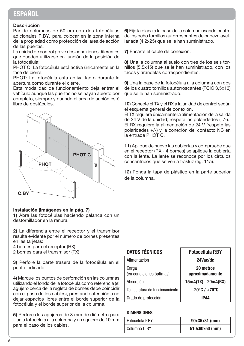## **ESPAÑOL**

#### Descripción

Par de columnas de 50 cm con dos fotocélulas adicionales P.BY, para colocar en la zona interna de la propiedad como protección del área de acción de las puertas.

La unidad de control prevé dos conexiones diferentes que pueden utilizarse en función de la posición de la fotocélula:

PHOT C: La fotocélula está activa únicamente en la fase de cierre.

PHOT: La fotocélula está activa tanto durante la apertura como durante el cierre.

Esta modalidad de funcionamiento deja entrar el vehículo aunque las puertas no se hayan abierto por completo, siempre y cuando el área de acción esté libre de obstáculos.



#### Instalación (imágenes en la pág. 7)

1) Abra las fotocélulas haciendo palanca con un destornillador en la ranura.

2) La diferencia entre el receptor y el transmisor resulta evidente por el número de bornes presentes en las tarjetas:

- 4 bornes para el receptor (RX)
- 2 bornes para el transmisor (TX)

3) Perfore la parte trasera de la fotocélula en el punto indicado.

4) Marque los puntos de perforación en las columnas utilizando el fondo de la fotocélula como referencia (el agujero cerca de la regleta de bornes debe coincidir con el paso de los cables), prestando atención a no dejar espacios libres entre el borde superior de la fotocélula y el borde superior de la columna.

5) Perfore dos agujeros de 3 mm de diámetro para fijar la fotocélula a la columna y un agujero de 10 mm para el paso de los cables.

6) Fije la placa a la base de la columna usando cuatro de los ocho tornillos autorroscantes de cabeza avellanada (4,2x25) que se le han suministrado.

7) Ensarte el cable de conexión.

8) Una la columna al suelo con tres de los seis tornillos (5,5x45) que se le han suministrado, con los tacos y arandelas correspondientes.

9) Una la base de la fotocélula a la columna con dos de los cuatro tornillos autorroscantes (TCIC 3,5x13) que se le han suministrado.

10) Conecte el TX y el RX a la unidad de control según el esquema general de conexión.

El TX requiere únicamente la alimentación de la salida de 24 V de la unidad; respete las polaridades (+/-). El RX requiere la alimentación de 24 V (respete las polaridades +/-) y la conexión del contacto NC en la entrada PHOT C.

11) Aplique de nuevo las cubiertas y compruebe que en el receptor (RX - 4 bornes) se aplique la cubierta con la lente. La lente se reconoce por los círculos concéntricos que se ven a trasluz (fig. 11a).

12) Ponga la tapa de plástico en la parte superior de la columna.

| <b>DATOS TÉCNICOS</b>             | <b>Fotocellula P.BY</b>           |
|-----------------------------------|-----------------------------------|
| Alimentación                      | 24Vac/dc                          |
| Carga<br>(en condiciones óptimas) | 20 metros<br>aproximadamente      |
| Absorción                         | $15mA(TX) - 20mA(RX)$             |
| Temperatura de funcionamiento     | $-20^{\circ}$ C / $+70^{\circ}$ C |
| Grado de protección               | IP44                              |

#### **DIMENSIONES**

| Fotocélula P.BY | 90x35x31 (mm)  |
|-----------------|----------------|
| Columna C.BY    | 510x60x50 (mm) |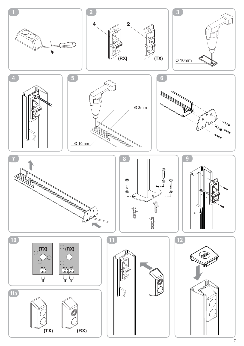